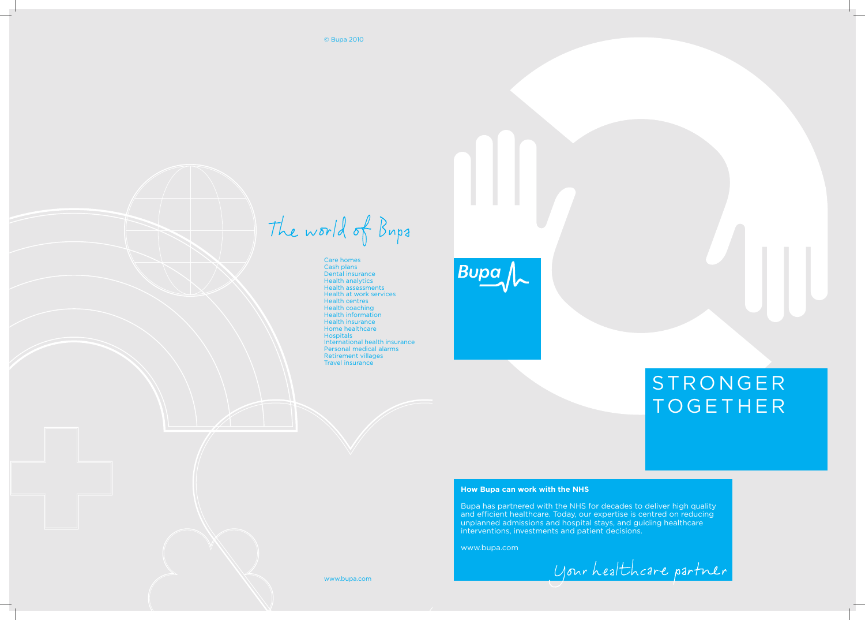© Bupa 2010

The world of Bups

# **STRONGER TOGETHER**

Care homes Cash plans Dental insurance Health analytics Health assessments Health at work services Health centres Health coaching Health information Health insurance Home healthcare **Hospitals** International health insurance Personal medical alarms Retirement villages Travel insurance

# **Bupa**

# **How Bupa can work with the NHS**

Bupa has partnered with the NHS for decades to deliver high quality and efficient healthcare. Today, our expertise is centred on reducing unplanned admissions and hospital stays, and guiding healthcare interventions, investments and patient decisions.

www.bupa.com

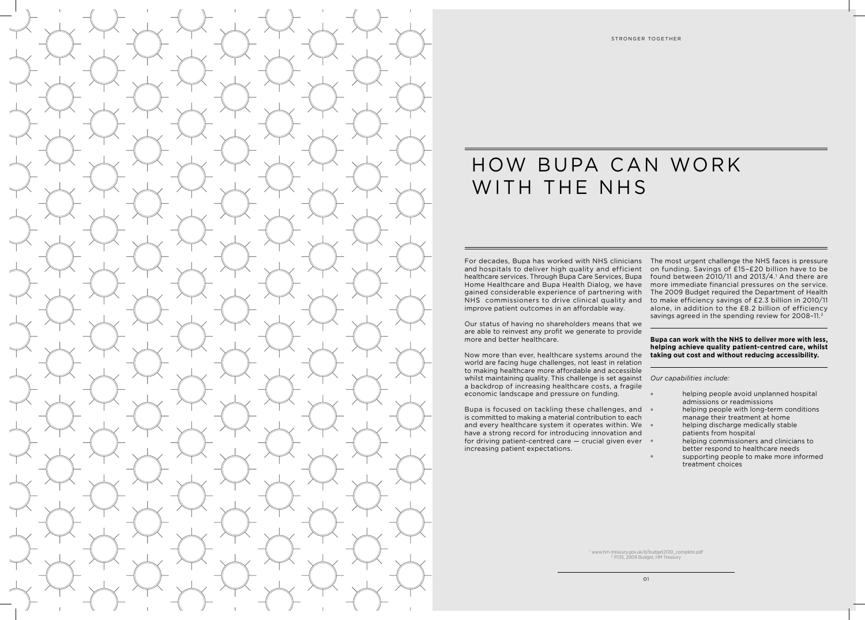

# HOW BUPA CAN WORK WITH THE NHS

For decades, Bupa has worked with NHS clinicians The most urgent challenge the NHS faces is pressure and hospitals to deliver high quality and efficient healthcare services. Through Bupa Care Services, Bupa Home Healthcare and Bupa Health Dialog, we have gained considerable experience of partnering with NHS commissioners to drive clinical quality and improve patient outcomes in an affordable way.

Our status of having no shareholders means that we are able to reinvest any profit we generate to provide more and better healthcare.

Bupa is focused on tackling these challenges, and  $\circ$ is committed to making a material contribution to each and every healthcare system it operates within. We  $\circ$ have a strong record for introducing innovation and for driving patient-centred care — crucial given ever increasing patient expectations.

Now more than ever, healthcare systems around the world are facing huge challenges, not least in relation to making healthcare more affordable and accessible whilst maintaining quality. This challenge is set against *Our capabilities include:* a backdrop of increasing healthcare costs, a fragile economic landscape and pressure on funding.

- helping people avoid unplanned hospital admissions or readmissions
- helping people with long-term conditions
- manage their treatment at home
- helping discharge medically stable
- patients from hospital
- helping commissioners and clinicians to
- better respond to healthcare needs
- supporting people to make more informed treatment choices

on funding. Savings of £15–£20 billion have to be found between  $2010/11$  and  $2013/4$ .<sup>1</sup> And there are more immediate financial pressures on the service. The 2009 Budget required the Department of Health to make efficiency savings of £2.3 billion in 2010/11 alone, in addition to the £8.2 billion of efficiency savings agreed in the spending review for 2008–11.2

# **Bupa can work with the NHS to deliver more with less, helping achieve quality patient-centred care, whilst taking out cost and without reducing accessibility.**

1 www.hm-treasury.gov.uk/d/budget2010\_complete.pdf 2 P.135, 2009 Budget, HM Treasury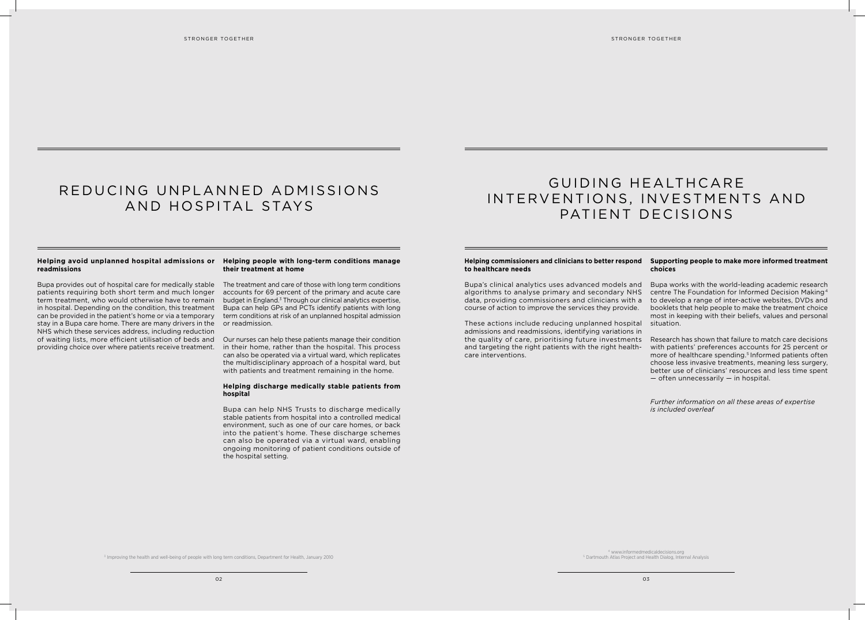# REDUCING UNPLANNED ADMISSIONS AND HOSPITAL STAYS

### **Helping commissioners and clinicians to better respond Supporting people to make more informed treatment to healthcare needs**

Bupa's clinical analytics uses advanced models and algorithms to analyse primary and secondary NHS data, providing commissioners and clinicians with a course of action to improve the services they provide.

These actions include reducing unplanned hospital admissions and readmissions, identifying variations in the quality of care, prioritising future investments and targeting the right patients with the right healthcare interventions.

# **choices**

Bupa works with the world-leading academic research centre The Foundation for Informed Decision Making <sup>4</sup> to develop a range of inter-active websites, DVDs and booklets that help people to make the treatment choice most in keeping with their beliefs, values and personal situation.

Research has shown that failure to match care decisions with patients' preferences accounts for 25 percent or more of healthcare spending.<sup>5</sup> Informed patients often choose less invasive treatments, meaning less surgery, better use of clinicians' resources and less time spent — often unnecessarily — in hospital.

*Further information on all these areas of expertise is included overleaf*

# **readmissions**

### **Helping avoid unplanned hospital admissions or Helping people with long-term conditions manage their treatment at home**

Bupa provides out of hospital care for medically stable The treatment and care of those with long term conditions

patients requiring both short term and much longer accounts for 69 percent of the primary and acute care term treatment, who would otherwise have to remain budget in England.3 Through our clinical analytics expertise, in hospital. Depending on the condition, this treatment Bupa can help GPs and PCTs identify patients with long can be provided in the patient's home or via a temporary term conditions at risk of an unplanned hospital admission stay in a Bupa care home. There are many drivers in the or readmission. NHS which these services address, including reduction of waiting lists, more efficient utilisation of beds and Our nurses can help these patients manage their condition providing choice over where patients receive treatment.

in their home, rather than the hospital. This process can also be operated via a virtual ward, which replicates the multidisciplinary approach of a hospital ward, but with patients and treatment remaining in the home.

# **Helping discharge medically stable patients from hospital**

Bupa can help NHS Trusts to discharge medically stable patients from hospital into a controlled medical environment, such as one of our care homes, or back into the patient's home. These discharge schemes can also be operated via a virtual ward, enabling ongoing monitoring of patient conditions outside of the hospital setting.

# GUIDING HEALTHCARE INTERVENTIONS, INVESTMENTS AND PATIENT DECISIONS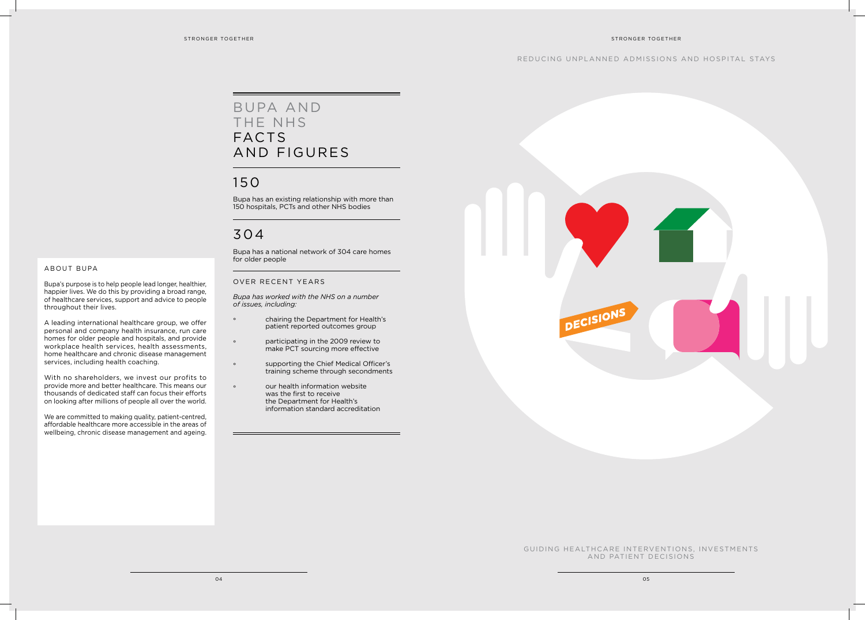# GUIDING HEALTHCARE INTERVENTIONS, INVESTMENTS AND PATIENT DECISIONS

# A BOUT BUPA

Bupa's purpose is to help people lead longer, healthier, happier lives. We do this by providing a broad range, of healthcare services, support and advice to people throughout their lives.

A leading international healthcare group, we offer personal and company health insurance, run care homes for older people and hospitals, and provide workplace health services, health assessments, home healthcare and chronic disease management services, including health coaching.

With no shareholders, we invest our profits to provide more and better healthcare. This means our thousands of dedicated staff can focus their efforts on looking after millions of people all over the world.

We are committed to making quality, patient-centred, affordable healthcare more accessible in the areas of wellbeing, chronic disease management and ageing.



# BUPA AND THE NHS FACTS AND FIGURES

# 150

Bupa has an existing relationship with more than 150 hospitals, PCTs and other NHS bodies

# 304

Bupa has a national network of 304 care homes for older people

# OVER RECENT YEARS

*Bupa has worked with the NHS on a number of issues, including:*

- ° chairing the Department for Health's patient reported outcomes group
- ° participating in the 2009 review to make PCT sourcing more effective
- ° supporting the Chief Medical Officer's training scheme through secondments
- ° our health information website was the first to receive the Department for Health's information standard accreditation

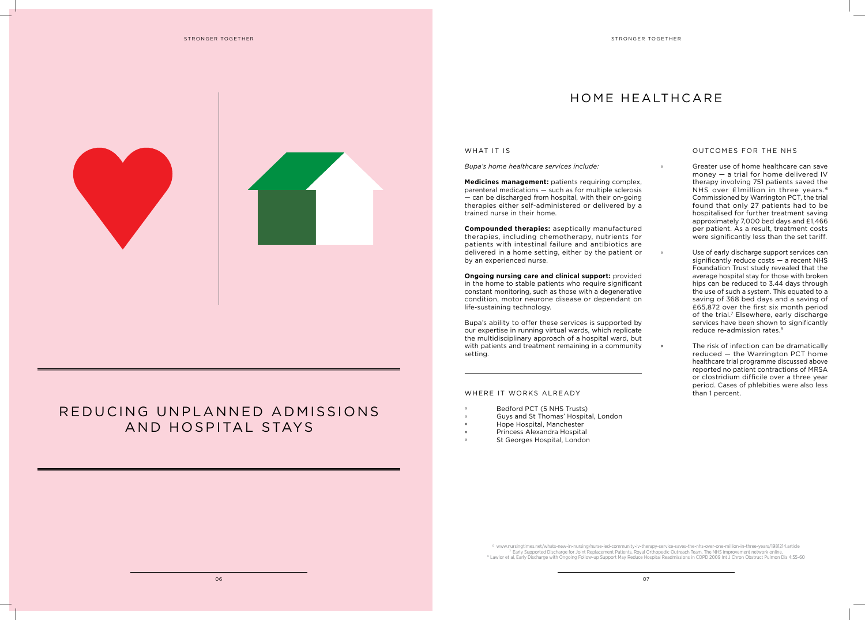

# REDUCING UNPLANNED ADMISSIONS AND HOSPITAL STAYS

# 06 07

# HOME HEALTHCARE

### WHAT IT IS

*Bupa's home healthcare services include:* 

**Medicines management:** patients requiring complex, parenteral medications — such as for multiple sclerosis — can be discharged from hospital, with their on-going therapies either self-administered or delivered by a trained nurse in their home.

**Compounded therapies:** aseptically manufactured therapies, including chemotherapy, nutrients for patients with intestinal failure and antibiotics are delivered in a home setting, either by the patient or by an experienced nurse.

**Ongoing nursing care and clinical support:** provided in the home to stable patients who require significant constant monitoring, such as those with a degenerative condition, motor neurone disease or dependant on life-sustaining technology.

Greater use of home healthcare can save money — a trial for home delivered IV therapy involving 751 patients saved the NHS over £1million in three years.<sup>6</sup> Commissioned by Warrington PCT, the trial found that only 27 patients had to be hospitalised for further treatment saving approximately 7,000 bed days and £1,466 per patient. As a result, treatment costs were significantly less than the set tariff.

° Use of early discharge support services can significantly reduce costs — a recent NHS Foundation Trust study revealed that the average hospital stay for those with broken hips can be reduced to 3.44 days through the use of such a system. This equated to a saving of 368 bed days and a saving of £65,872 over the first six month period of the trial.<sup>7</sup> Elsewhere, early discharge services have been shown to significantly reduce re-admission rates.<sup>8</sup>

Bupa's ability to offer these services is supported by our expertise in running virtual wards, which replicate the multidisciplinary approach of a hospital ward, but with patients and treatment remaining in a community setting.

# WHERE IT WORKS ALREADY

- Bedford PCT (5 NHS Trusts)
- ° Guys and St Thomas' Hospital, London
- Hope Hospital, Manchester
- Princess Alexandra Hospital
- St Georges Hospital, London

6 www.nursingtimes.net/whats-new-in-nursing/nurse-led-community-iv-therapy-service-saves-the-nhs-over-one-million-in-three-years/1981214.article Tarly Supported Discharge for Joint Replacement Patients, Royal Orthopedic Outreach Team, The NHS improvement network online.<br>Buy Supported Discharge for Joint Replacement Patients, Royal Orthopedic Outreach Team, The NHS

# OUTCOMES FOR THE NHS

° The risk of infection can be dramatically reduced — the Warrington PCT home healthcare trial programme discussed above reported no patient contractions of MRSA or clostridium difficile over a three year period. Cases of phlebities were also less than 1 percent.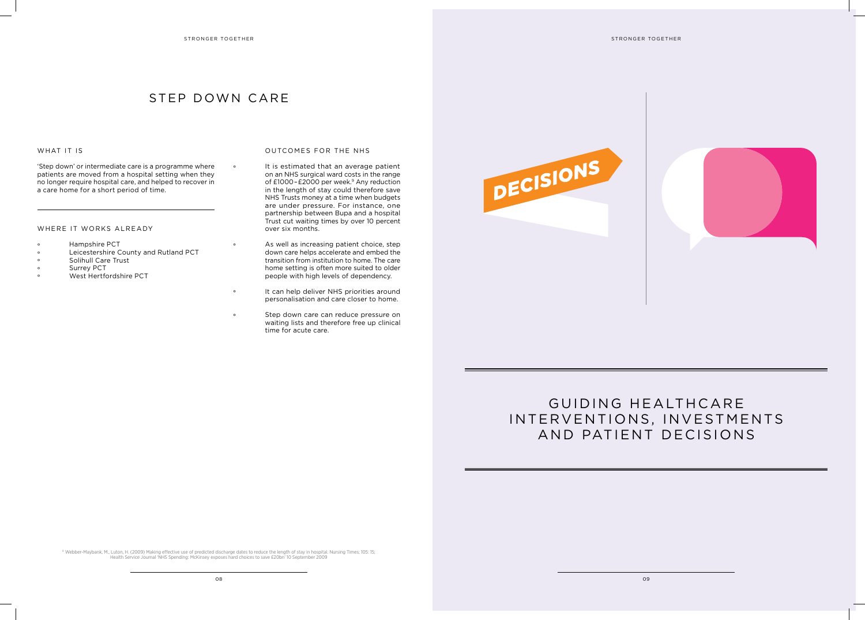# STEP DOWN CARE

# WHAT IT IS





'Step down' or intermediate care is a programme where patients are moved from a hospital setting when they no longer require hospital care, and helped to recover in a care home for a short period of time.

### WHERE IT WORKS ALREADY

- Hampshire PCT
- Leicestershire County and Rutland PCT
- Solihull Care Trust
- Surrey PCT
- West Hertfordshire PCT

## OUTCOMES FOR THE NHS

- As well as increasing patient choice, step down care helps accelerate and embed the transition from institution to home. The care home setting is often more suited to older people with high levels of dependency.
- It can help deliver NHS priorities around personalisation and care closer to home.
- Step down care can reduce pressure on waiting lists and therefore free up clinical time for acute care.



# GUIDING HEALTHCARE INTERVENTIONS, INVESTMENTS AND PATIENT DECISIONS

° It is estimated that an average patient on an NHS surgical ward costs in the range of £1000-£2000 per week.<sup>9</sup> Any reduction in the length of stay could therefore save NHS Trusts money at a time when budgets are under pressure. For instance, one partnership between Bupa and a hospital Trust cut waiting times by over 10 percent over six months.

9 Webber-Maybank, M., Luton, H. (2009) Making effective use of predicted discharge dates to reduce the length of stay in hospital. Nursing Times; 105: 15; Health Service Journal 'NHS Spending: McKinsey exposes hard choices to save £20bn' 10 September 2009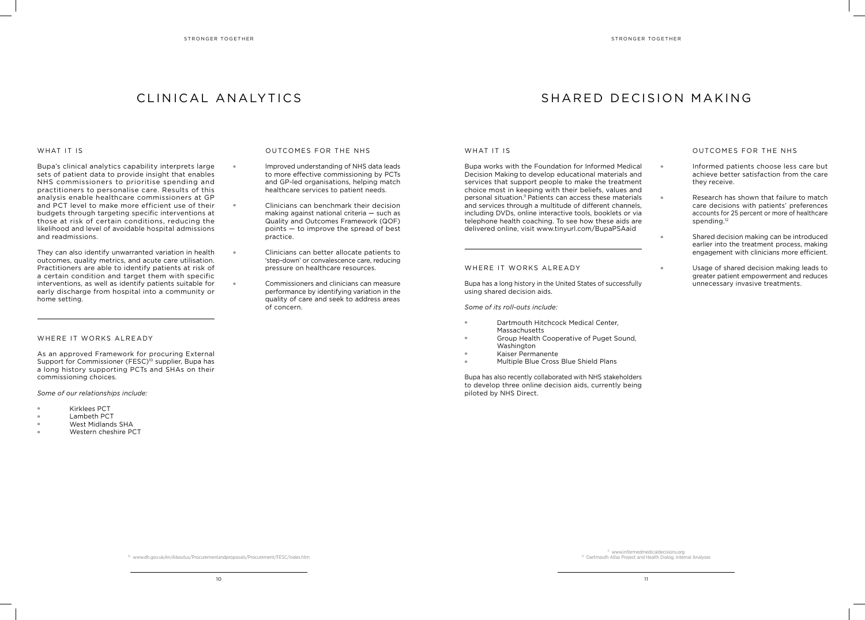# CLINICAL ANALYTICS

### WHAT IT IS

# SHARED DECISION MAKING

# OUTCOMES FOR THE NHS

Bupa's clinical analytics capability interprets large sets of patient data to provide insight that enables NHS commissioners to prioritise spending and practitioners to personalise care. Results of this analysis enable healthcare commissioners at GP and PCT level to make more efficient use of their budgets through targeting specific interventions at those at risk of certain conditions, reducing the likelihood and level of avoidable hospital admissions and readmissions.

They can also identify unwarranted variation in health outcomes, quality metrics, and acute care utilisation. Practitioners are able to identify patients at risk of a certain condition and target them with specific interventions, as well as identify patients suitable for early discharge from hospital into a community or home setting.

# WHERE IT WORKS ALREADY

° Research has shown that failure to match care decisions with patients' preferences accounts for 25 percent or more of healthcare spending.<sup>12</sup>

As an approved Framework for procuring External Support for Commissioner (FESC)<sup>10</sup> supplier. Bupa has a long history supporting PCTs and SHAs on their commissioning choices.

## *Some of our relationships include:*

- Kirklees PCT
- Lambeth PCT
- West Midlands SHA
- Western cheshire PCT

### OUTCOMES FOR THE NHS

- ° Improved understanding of NHS data leads to more effective commissioning by PCTs and GP-led organisations, helping match healthcare services to patient needs.
- ° Clinicians can benchmark their decision making against national criteria — such as Quality and Outcomes Framework (QOF) points — to improve the spread of best practice.
- ° Clinicians can better allocate patients to 'step-down' or convalescence care, reducing pressure on healthcare resources.
- ° Commissioners and clinicians can measure performance by identifying variation in the quality of care and seek to address areas of concern.

### WHAT IT IS

- Dartmouth Hitchcock Medical Center, Massachusetts
- ° Group Health Cooperative of Puget Sound, Washington
- Kaiser Permanente
- ° Multiple Blue Cross Blue Shield Plans

° Informed patients choose less care but achieve better satisfaction from the care they receive.

° Shared decision making can be introduced earlier into the treatment process, making engagement with clinicians more efficient.

° Usage of shared decision making leads to greater patient empowerment and reduces unnecessary invasive treatments.

Bupa works with the Foundation for Informed Medical Decision Making to develop educational materials and services that support people to make the treatment choice most in keeping with their beliefs, values and personal situation.<sup>11</sup> Patients can access these materials and services through a multitude of different channels, including DVDs, online interactive tools, booklets or via telephone health coaching. To see how these aids are delivered online, visit www.tinyurl.com/BupaPSAaid

### WHERE IT WORKS ALREADY

Bupa has a long history in the United States of successfully using shared decision aids.

*Some of its roll-outs include:*

Bupa has also recently collaborated with NHS stakeholders to develop three online decision aids, currently being piloted by NHS Direct.